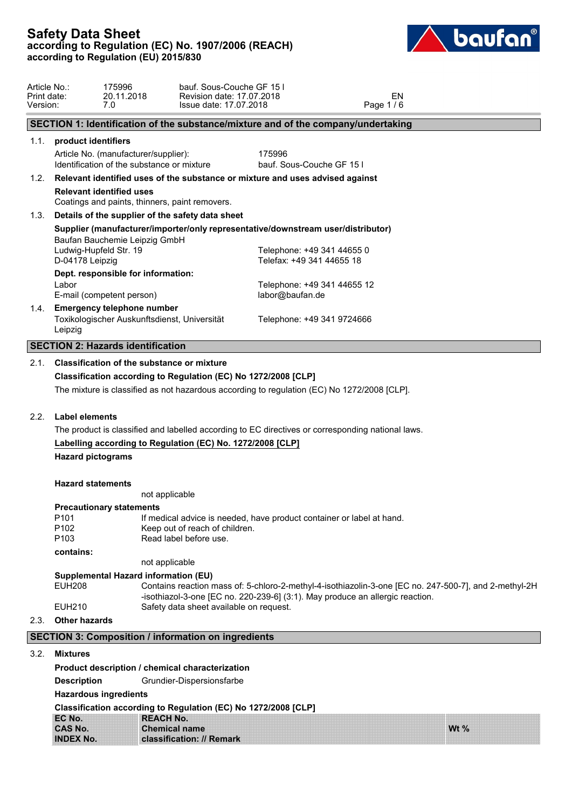

| Article No.:<br>Print date:<br>Version: |                                           | 175996<br>20.11.2018<br>7.0                                                        | bauf. Sous-Couche GF 15 I<br>Revision date: 17.07.2018<br>Issue date: 17.07.2018                                         |                                                         |  | Page 1/6 | <b>EN</b> |  |
|-----------------------------------------|-------------------------------------------|------------------------------------------------------------------------------------|--------------------------------------------------------------------------------------------------------------------------|---------------------------------------------------------|--|----------|-----------|--|
|                                         |                                           |                                                                                    | SECTION 1: Identification of the substance/mixture and of the company/undertaking                                        |                                                         |  |          |           |  |
|                                         | 1.1. product identifiers                  |                                                                                    |                                                                                                                          |                                                         |  |          |           |  |
|                                         |                                           | Article No. (manufacturer/supplier):<br>Identification of the substance or mixture |                                                                                                                          | 175996<br>bauf. Sous-Couche GF 151                      |  |          |           |  |
| 1.2.                                    |                                           |                                                                                    | Relevant identified uses of the substance or mixture and uses advised against                                            |                                                         |  |          |           |  |
|                                         |                                           | <b>Relevant identified uses</b><br>Coatings and paints, thinners, paint removers.  |                                                                                                                          |                                                         |  |          |           |  |
| 1.3.                                    |                                           |                                                                                    | Details of the supplier of the safety data sheet                                                                         |                                                         |  |          |           |  |
|                                         |                                           | Baufan Bauchemie Leipzig GmbH                                                      | Supplier (manufacturer/importer/only representative/downstream user/distributor)                                         |                                                         |  |          |           |  |
|                                         | Ludwig-Hupfeld Str. 19<br>D-04178 Leipzig |                                                                                    |                                                                                                                          | Telephone: +49 341 44655 0<br>Telefax: +49 341 44655 18 |  |          |           |  |
|                                         | Labor                                     | Dept. responsible for information:<br>E-mail (competent person)                    |                                                                                                                          | Telephone: +49 341 44655 12<br>labor@baufan.de          |  |          |           |  |
|                                         | Leipzig                                   | 1.4. Emergency telephone number<br>Toxikologischer Auskunftsdienst, Universität    |                                                                                                                          | Telephone: +49 341 9724666                              |  |          |           |  |
|                                         |                                           | <b>SECTION 2: Hazards identification</b>                                           |                                                                                                                          |                                                         |  |          |           |  |
| 2.1.                                    |                                           | <b>Classification of the substance or mixture</b>                                  |                                                                                                                          |                                                         |  |          |           |  |
|                                         |                                           | Classification according to Regulation (EC) No 1272/2008 [CLP]                     |                                                                                                                          |                                                         |  |          |           |  |
|                                         |                                           |                                                                                    | The mixture is classified as not hazardous according to regulation (EC) No 1272/2008 [CLP].                              |                                                         |  |          |           |  |
| 2.2.                                    | <b>Label elements</b>                     |                                                                                    |                                                                                                                          |                                                         |  |          |           |  |
|                                         |                                           |                                                                                    | The product is classified and labelled according to EC directives or corresponding national laws.                        |                                                         |  |          |           |  |
|                                         | <b>Hazard pictograms</b>                  |                                                                                    | Labelling according to Regulation (EC) No. 1272/2008 [CLP]                                                               |                                                         |  |          |           |  |
|                                         | <b>Hazard statements</b>                  | not applicable                                                                     |                                                                                                                          |                                                         |  |          |           |  |
|                                         |                                           | <b>Precautionary statements</b>                                                    |                                                                                                                          |                                                         |  |          |           |  |
|                                         | P <sub>101</sub>                          |                                                                                    | If medical advice is needed, have product container or label at hand.                                                    |                                                         |  |          |           |  |
|                                         | P <sub>102</sub><br>P <sub>103</sub>      |                                                                                    | Keep out of reach of children.<br>Read label before use.                                                                 |                                                         |  |          |           |  |
|                                         | contains:                                 |                                                                                    |                                                                                                                          |                                                         |  |          |           |  |
|                                         |                                           | not applicable                                                                     |                                                                                                                          |                                                         |  |          |           |  |
|                                         | <b>EUH208</b>                             | Supplemental Hazard information (EU)                                               | Contains reaction mass of: 5-chloro-2-methyl-4-isothiazolin-3-one [EC no. 247-500-7], and 2-methyl-2H                    |                                                         |  |          |           |  |
|                                         | <b>EUH210</b>                             |                                                                                    | -isothiazol-3-one [EC no. 220-239-6] (3:1). May produce an allergic reaction.<br>Safety data sheet available on request. |                                                         |  |          |           |  |
| 2.3.                                    | <b>Other hazards</b>                      |                                                                                    |                                                                                                                          |                                                         |  |          |           |  |
|                                         |                                           |                                                                                    | <b>SECTION 3: Composition / information on ingredients</b>                                                               |                                                         |  |          |           |  |
|                                         | 3.2. Mixtures                             |                                                                                    |                                                                                                                          |                                                         |  |          |           |  |
|                                         |                                           |                                                                                    | Product description / chemical characterization                                                                          |                                                         |  |          |           |  |
|                                         | <b>Description</b>                        |                                                                                    | Grundier-Dispersionsfarbe                                                                                                |                                                         |  |          |           |  |
|                                         |                                           | <b>Hazardous ingredients</b>                                                       |                                                                                                                          |                                                         |  |          |           |  |
|                                         |                                           |                                                                                    |                                                                                                                          |                                                         |  |          |           |  |

**Classification according to Regulation (EC) No 1272/2008 [CLP]**

| EC No.           | <b>REACH No.</b>          |        |
|------------------|---------------------------|--------|
| <b>CAS No.</b>   | <b>Chemical name</b>      | Wt $%$ |
| <b>INDEX No.</b> | classification: // Remark |        |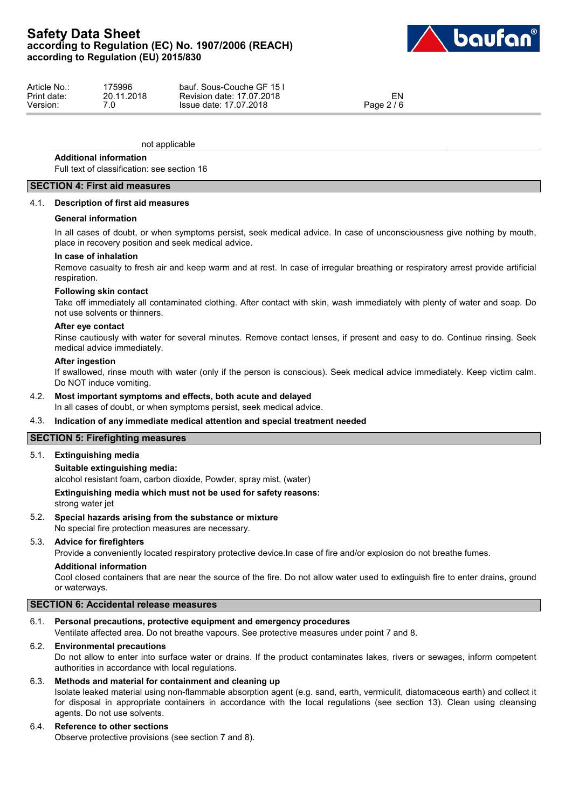

| Article No.: | 175996     | bauf. Sous-Couche GF 151  |            |  |
|--------------|------------|---------------------------|------------|--|
| Print date:  | 20.11.2018 | Revision date: 17.07.2018 | EN         |  |
| Version:     | ⇁⌒         | Issue date: 17.07.2018    | Page 2 / 6 |  |

not applicable

#### **Additional information**

Full text of classification: see section 16

## **SECTION 4: First aid measures**

#### 4.1. **Description of first aid measures**

#### **General information**

In all cases of doubt, or when symptoms persist, seek medical advice. In case of unconsciousness give nothing by mouth, place in recovery position and seek medical advice.

#### **In case of inhalation**

Remove casualty to fresh air and keep warm and at rest. In case of irregular breathing or respiratory arrest provide artificial respiration.

### **Following skin contact**

Take off immediately all contaminated clothing. After contact with skin, wash immediately with plenty of water and soap. Do not use solvents or thinners.

#### **After eye contact**

Rinse cautiously with water for several minutes. Remove contact lenses, if present and easy to do. Continue rinsing. Seek medical advice immediately.

#### **After ingestion**

If swallowed, rinse mouth with water (only if the person is conscious). Seek medical advice immediately. Keep victim calm. Do NOT induce vomiting.

## 4.2. **Most important symptoms and effects, both acute and delayed**

In all cases of doubt, or when symptoms persist, seek medical advice.

#### 4.3. **Indication of any immediate medical attention and special treatment needed**

#### **SECTION 5: Firefighting measures**

#### 5.1. **Extinguishing media**

#### **Suitable extinguishing media:**

alcohol resistant foam, carbon dioxide, Powder, spray mist, (water)

#### **Extinguishing media which must not be used for safety reasons:**

strong water jet

#### 5.2. **Special hazards arising from the substance or mixture**

No special fire protection measures are necessary.

#### 5.3. **Advice for firefighters**

Provide a conveniently located respiratory protective device.In case of fire and/or explosion do not breathe fumes.

### **Additional information**

Cool closed containers that are near the source of the fire. Do not allow water used to extinguish fire to enter drains, ground or waterways.

## **SECTION 6: Accidental release measures**

## 6.1. **Personal precautions, protective equipment and emergency procedures**

Ventilate affected area. Do not breathe vapours. See protective measures under point 7 and 8.

#### 6.2. **Environmental precautions**

Do not allow to enter into surface water or drains. If the product contaminates lakes, rivers or sewages, inform competent authorities in accordance with local regulations.

### 6.3. **Methods and material for containment and cleaning up**

Isolate leaked material using non-flammable absorption agent (e.g. sand, earth, vermiculit, diatomaceous earth) and collect it for disposal in appropriate containers in accordance with the local regulations (see section 13). Clean using cleansing agents. Do not use solvents.

## 6.4. **Reference to other sections**

Observe protective provisions (see section 7 and 8).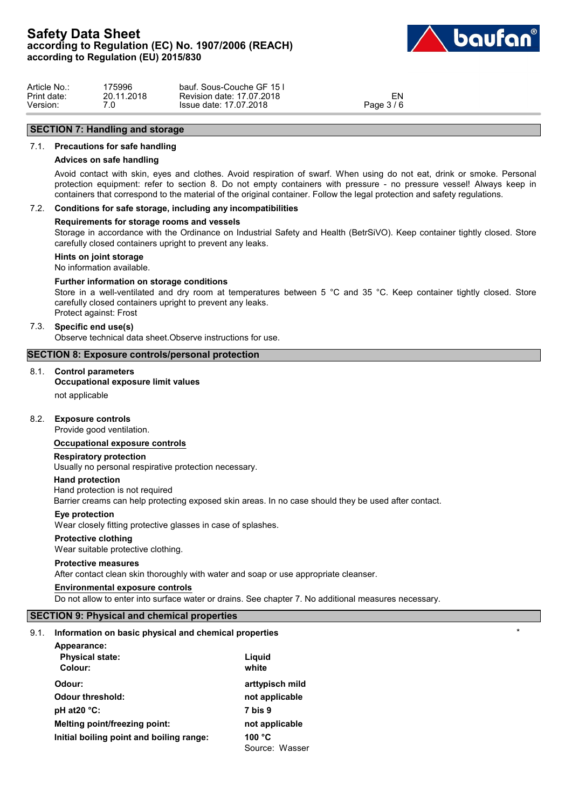

| Article No.: | 175996     | bauf. Sous-Couche GF 151     |          |  |
|--------------|------------|------------------------------|----------|--|
| Print date:  | 20.11.2018 | 17.07.2018<br>Revision date: | EN       |  |
| Version:     | .v         | 17.07.2018<br>Issue date:    | Page 3/6 |  |

# **SECTION 7: Handling and storage**

## 7.1. **Precautions for safe handling**

#### **Advices on safe handling**

Avoid contact with skin, eyes and clothes. Avoid respiration of swarf. When using do not eat, drink or smoke. Personal protection equipment: refer to section 8. Do not empty containers with pressure - no pressure vessel! Always keep in containers that correspond to the material of the original container. Follow the legal protection and safety regulations.

## 7.2. **Conditions for safe storage, including any incompatibilities**

#### **Requirements for storage rooms and vessels**

Storage in accordance with the Ordinance on Industrial Safety and Health (BetrSiVO). Keep container tightly closed. Store carefully closed containers upright to prevent any leaks.

## **Hints on joint storage**

No information available.

#### **Further information on storage conditions**

Store in a well-ventilated and dry room at temperatures between 5 °C and 35 °C. Keep container tightly closed. Store carefully closed containers upright to prevent any leaks. Protect against: Frost

#### 7.3. **Specific end use(s)**

Observe technical data sheet.Observe instructions for use.

#### **SECTION 8: Exposure controls/personal protection**

## 8.1. **Control parameters**

## **Occupational exposure limit values**

not applicable

## 8.2. **Exposure controls**

Provide good ventilation.

#### **Occupational exposure controls**

#### **Respiratory protection**

Usually no personal respirative protection necessary.

#### **Hand protection**

Hand protection is not required Barrier creams can help protecting exposed skin areas. In no case should they be used after contact.

#### **Eye protection**

Wear closely fitting protective glasses in case of splashes.

#### **Protective clothing**

Wear suitable protective clothing.

#### **Protective measures**

After contact clean skin thoroughly with water and soap or use appropriate cleanser.

#### **Environmental exposure controls**

Do not allow to enter into surface water or drains. See chapter 7. No additional measures necessary.

## **SECTION 9: Physical and chemical properties**

#### 9.1. **Information on basic physical and chemical properties** \*

| Appearance:                              |                 |
|------------------------------------------|-----------------|
| <b>Physical state:</b>                   | Liguid          |
| Colour:                                  | white           |
| Odour:                                   | arttypisch mild |
| <b>Odour threshold:</b>                  | not applicable  |
| pH at $20^{\circ}$ C:                    | 7 bis 9         |
| Melting point/freezing point:            | not applicable  |
| Initial boiling point and boiling range: | 100 $\degree$ C |
|                                          | Source: Wasser  |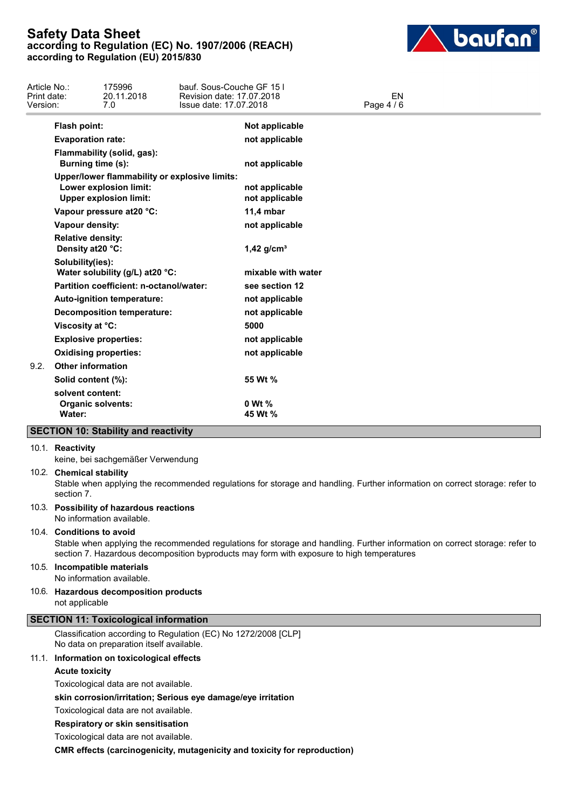

| Article No.:<br>Print date:<br>Version: |                                               | 175996<br>20.11.2018<br>7.0                                                                              | bauf. Sous-Couche GF 151<br>Revision date: 17.07.2018<br>Issue date: 17.07.2018 |                                  | <b>EN</b><br>Page 4 / 6 |  |
|-----------------------------------------|-----------------------------------------------|----------------------------------------------------------------------------------------------------------|---------------------------------------------------------------------------------|----------------------------------|-------------------------|--|
|                                         | Flash point:                                  |                                                                                                          |                                                                                 | Not applicable                   |                         |  |
|                                         | <b>Evaporation rate:</b>                      |                                                                                                          |                                                                                 | not applicable                   |                         |  |
|                                         | Burning time (s):                             | Flammability (solid, gas):                                                                               |                                                                                 | not applicable                   |                         |  |
|                                         |                                               | Upper/lower flammability or explosive limits:<br>Lower explosion limit:<br><b>Upper explosion limit:</b> |                                                                                 | not applicable<br>not applicable |                         |  |
|                                         |                                               | Vapour pressure at 20 °C:                                                                                |                                                                                 | 11,4 mbar                        |                         |  |
|                                         | Vapour density:                               |                                                                                                          |                                                                                 | not applicable                   |                         |  |
|                                         | <b>Relative density:</b><br>Density at 20 °C: |                                                                                                          |                                                                                 | $1,42$ g/cm <sup>3</sup>         |                         |  |
|                                         | Solubility(ies):                              | Water solubility (g/L) at 20 °C:                                                                         |                                                                                 | mixable with water               |                         |  |
|                                         |                                               | Partition coefficient: n-octanol/water:                                                                  |                                                                                 | see section 12                   |                         |  |
|                                         |                                               | Auto-ignition temperature:                                                                               |                                                                                 | not applicable                   |                         |  |
|                                         |                                               | <b>Decomposition temperature:</b>                                                                        |                                                                                 | not applicable                   |                         |  |
|                                         | Viscosity at °C:                              |                                                                                                          |                                                                                 | 5000                             |                         |  |
|                                         |                                               | <b>Explosive properties:</b>                                                                             |                                                                                 | not applicable                   |                         |  |
|                                         |                                               | <b>Oxidising properties:</b>                                                                             |                                                                                 | not applicable                   |                         |  |
| 9.2.                                    | <b>Other information</b>                      |                                                                                                          |                                                                                 |                                  |                         |  |
|                                         | Solid content (%):                            |                                                                                                          |                                                                                 | 55 Wt %                          |                         |  |
|                                         | solvent content:<br>Water:                    | <b>Organic solvents:</b>                                                                                 |                                                                                 | 0 Wt %<br>45 Wt %                |                         |  |
|                                         |                                               | <b>SECTION 10: Stability and reactivity</b>                                                              |                                                                                 |                                  |                         |  |

#### 10.1. **Reactivity**

keine, bei sachgemäßer Verwendung

#### 10.2. **Chemical stability**

Stable when applying the recommended regulations for storage and handling. Further information on correct storage: refer to section 7.

## 10.3. **Possibility of hazardous reactions**

No information available.

## 10.4. **Conditions to avoid**

Stable when applying the recommended regulations for storage and handling. Further information on correct storage: refer to section 7. Hazardous decomposition byproducts may form with exposure to high temperatures

#### 10.5. **Incompatible materials**

No information available.

10.6. **Hazardous decomposition products** not applicable

## **SECTION 11: Toxicological information**

Classification according to Regulation (EC) No 1272/2008 [CLP] No data on preparation itself available.

#### 11.1. **Information on toxicological effects**

**Acute toxicity**

Toxicological data are not available.

**skin corrosion/irritation; Serious eye damage/eye irritation**

Toxicological data are not available.

**Respiratory or skin sensitisation**

Toxicological data are not available.

**CMR effects (carcinogenicity, mutagenicity and toxicity for reproduction)**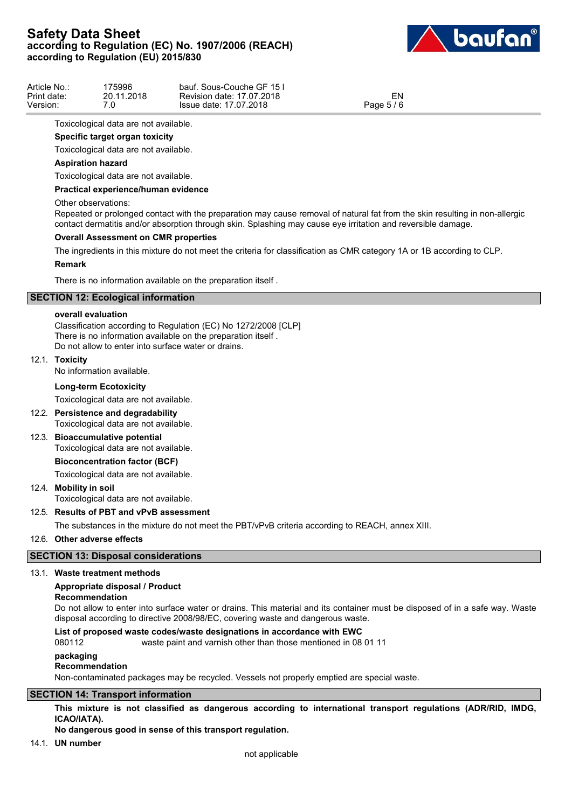

| Article No.: | 75996      | bauf. Sous-Couche GF 151  |            |  |
|--------------|------------|---------------------------|------------|--|
| Print date:  | 20.11.2018 | Revision date: 17.07.2018 | EN         |  |
| Version:     | .U         | Issue date: 17.07.2018    | Page 5 / 6 |  |

Toxicological data are not available.

## **Specific target organ toxicity**

Toxicological data are not available.

## **Aspiration hazard**

Toxicological data are not available.

#### **Practical experience/human evidence**

#### Other observations:

Repeated or prolonged contact with the preparation may cause removal of natural fat from the skin resulting in non-allergic contact dermatitis and/or absorption through skin. Splashing may cause eye irritation and reversible damage.

#### **Overall Assessment on CMR properties**

The ingredients in this mixture do not meet the criteria for classification as CMR category 1A or 1B according to CLP.

#### **Remark**

There is no information available on the preparation itself .

## **SECTION 12: Ecological information**

#### **overall evaluation**

Classification according to Regulation (EC) No 1272/2008 [CLP] There is no information available on the preparation itself . Do not allow to enter into surface water or drains.

#### 12.1. **Toxicity**

No information available.

#### **Long-term Ecotoxicity**

Toxicological data are not available.

12.2. **Persistence and degradability**

Toxicological data are not available.

## 12.3. **Bioaccumulative potential**

Toxicological data are not available.

## **Bioconcentration factor (BCF)**

Toxicological data are not available.

## 12.4. **Mobility in soil**

Toxicological data are not available.

#### 12.5. **Results of PBT and vPvB assessment**

The substances in the mixture do not meet the PBT/vPvB criteria according to REACH, annex XIII.

### 12.6. **Other adverse effects**

### **SECTION 13: Disposal considerations**

#### 13.1. **Waste treatment methods**

## **Appropriate disposal / Product**

**Recommendation**

Do not allow to enter into surface water or drains. This material and its container must be disposed of in a safe way. Waste disposal according to directive 2008/98/EC, covering waste and dangerous waste.

#### **List of proposed waste codes/waste designations in accordance with EWC**

080112 waste paint and varnish other than those mentioned in 08 01 11

#### **packaging**

#### **Recommendation**

Non-contaminated packages may be recycled. Vessels not properly emptied are special waste.

## **SECTION 14: Transport information**

**This mixture is not classified as dangerous according to international transport regulations (ADR/RID, IMDG, ICAO/IATA).**

## **No dangerous good in sense of this transport regulation.**

14.1. **UN number**